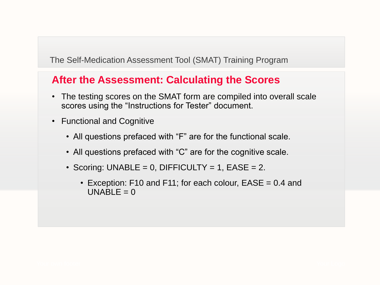- The testing scores on the SMAT form are compiled into overall scale scores using the "Instructions for Tester" document.
- Functional and Cognitive
	- All questions prefaced with "F" are for the functional scale.
	- All questions prefaced with "C" are for the cognitive scale.
	- Scoring: UNABLE =  $0$ , DIFFICULTY = 1, EASE =  $2$ .
		- Exception: F10 and F11; for each colour, EASE = 0.4 and UNABLE =  $0$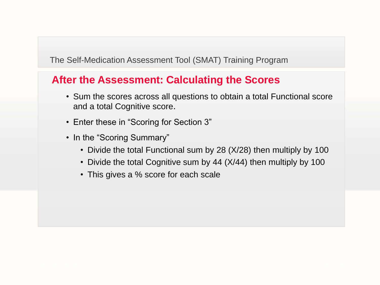- Sum the scores across all questions to obtain a total Functional score and a total Cognitive score.
- Enter these in "Scoring for Section 3"
- In the "Scoring Summary"
	- Divide the total Functional sum by 28 (X/28) then multiply by 100
	- Divide the total Cognitive sum by 44 (X/44) then multiply by 100
	- This gives a % score for each scale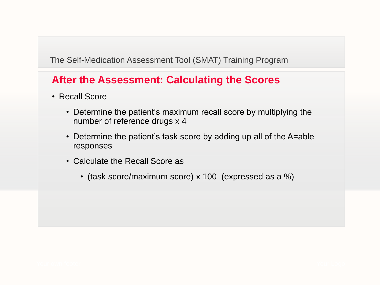- Recall Score
	- Determine the patient's maximum recall score by multiplying the number of reference drugs x 4
	- Determine the patient's task score by adding up all of the A=able responses
	- Calculate the Recall Score as
		- (task score/maximum score) x 100 (expressed as a %)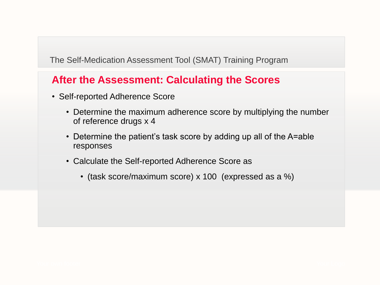- Self-reported Adherence Score
	- Determine the maximum adherence score by multiplying the number of reference drugs x 4
	- Determine the patient's task score by adding up all of the A=able responses
	- Calculate the Self-reported Adherence Score as
		- (task score/maximum score) x 100 (expressed as a %)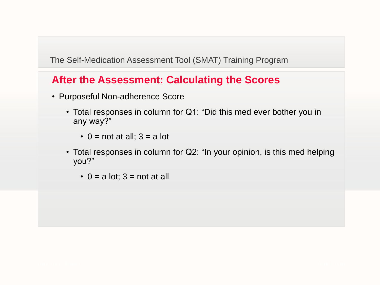- Purposeful Non-adherence Score
	- Total responses in column for Q1: "Did this med ever bother you in any way?"
		- $\cdot$  0 = not at all; 3 = a lot
	- Total responses in column for Q2: "In your opinion, is this med helping you?"
		- $\cdot$  0 = a lot; 3 = not at all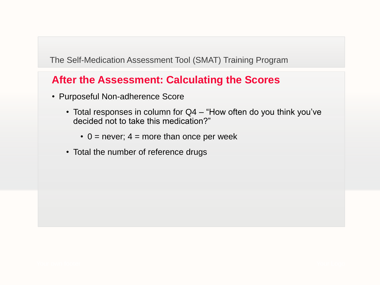- Purposeful Non-adherence Score
	- Total responses in column for Q4 "How often do you think you've decided not to take this medication?"
		- $\cdot$  0 = never; 4 = more than once per week
	- Total the number of reference drugs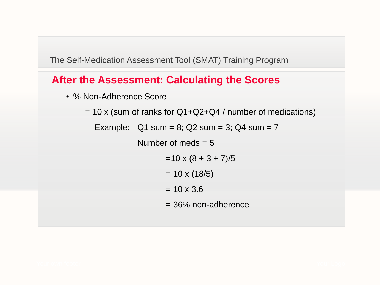### **After the Assessment: Calculating the Scores**

• % Non-Adherence Score

 $= 10$  x (sum of ranks for Q1+Q2+Q4 / number of medications)

Example:  $Q1$  sum = 8;  $Q2$  sum = 3;  $Q4$  sum = 7

Number of meds  $= 5$ 

 $=10 \times (8 + 3 + 7)/5$ 

 $= 10 \times (18/5)$ 

 $= 10 \times 3.6$ 

= 36% non-adherence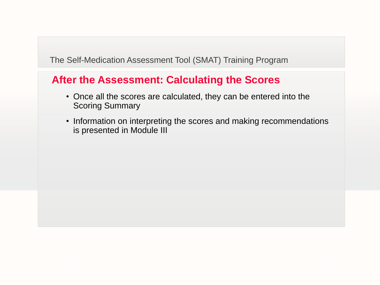- Once all the scores are calculated, they can be entered into the Scoring Summary
- Information on interpreting the scores and making recommendations is presented in Module III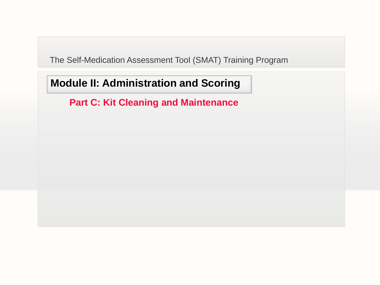# **Module II: Administration and Scoring**

**Part C: Kit Cleaning and Maintenance**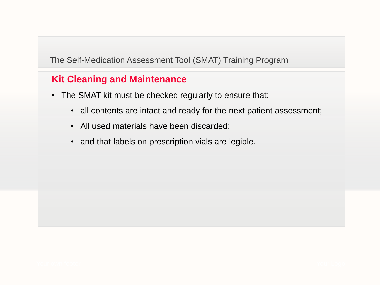#### **Kit Cleaning and Maintenance**

- The SMAT kit must be checked regularly to ensure that:
	- all contents are intact and ready for the next patient assessment;
	- All used materials have been discarded;
	- and that labels on prescription vials are legible.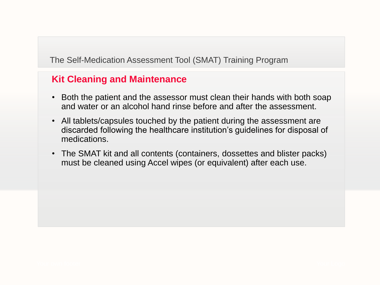#### **Kit Cleaning and Maintenance**

- Both the patient and the assessor must clean their hands with both soap and water or an alcohol hand rinse before and after the assessment.
- All tablets/capsules touched by the patient during the assessment are discarded following the healthcare institution's guidelines for disposal of medications.
- The SMAT kit and all contents (containers, dossettes and blister packs) must be cleaned using Accel wipes (or equivalent) after each use.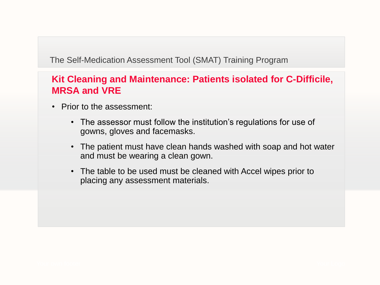- Prior to the assessment:
	- The assessor must follow the institution's regulations for use of gowns, gloves and facemasks.
	- The patient must have clean hands washed with soap and hot water and must be wearing a clean gown.
	- The table to be used must be cleaned with Accel wipes prior to placing any assessment materials.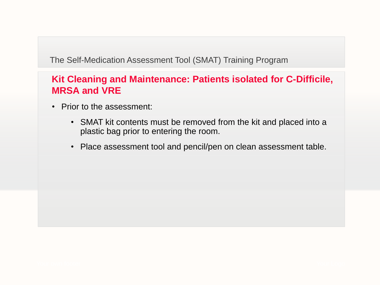- Prior to the assessment:
	- SMAT kit contents must be removed from the kit and placed into a plastic bag prior to entering the room.
	- Place assessment tool and pencil/pen on clean assessment table.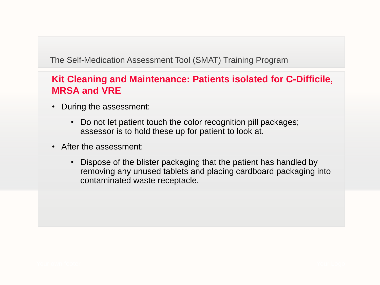- During the assessment:
	- Do not let patient touch the color recognition pill packages; assessor is to hold these up for patient to look at.
- After the assessment:
	- Dispose of the blister packaging that the patient has handled by removing any unused tablets and placing cardboard packaging into contaminated waste receptacle.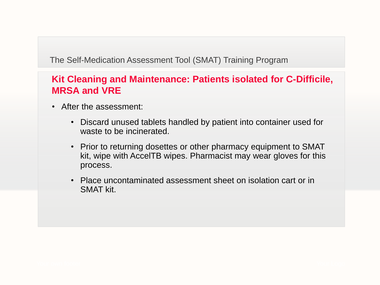- After the assessment:
	- Discard unused tablets handled by patient into container used for waste to be incinerated.
	- Prior to returning dosettes or other pharmacy equipment to SMAT kit, wipe with AccelTB wipes. Pharmacist may wear gloves for this process.
	- Place uncontaminated assessment sheet on isolation cart or in SMAT kit.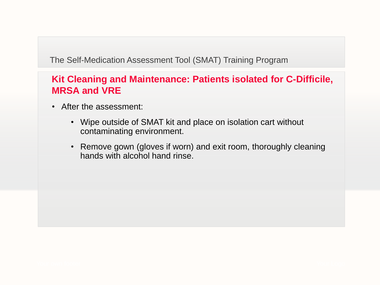- After the assessment:
	- Wipe outside of SMAT kit and place on isolation cart without contaminating environment.
	- Remove gown (gloves if worn) and exit room, thoroughly cleaning hands with alcohol hand rinse.